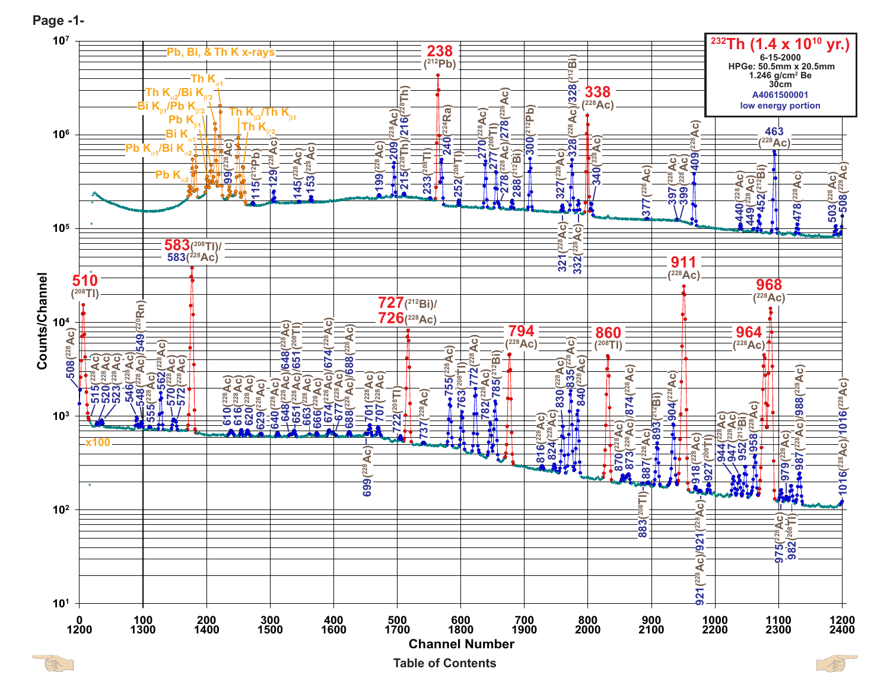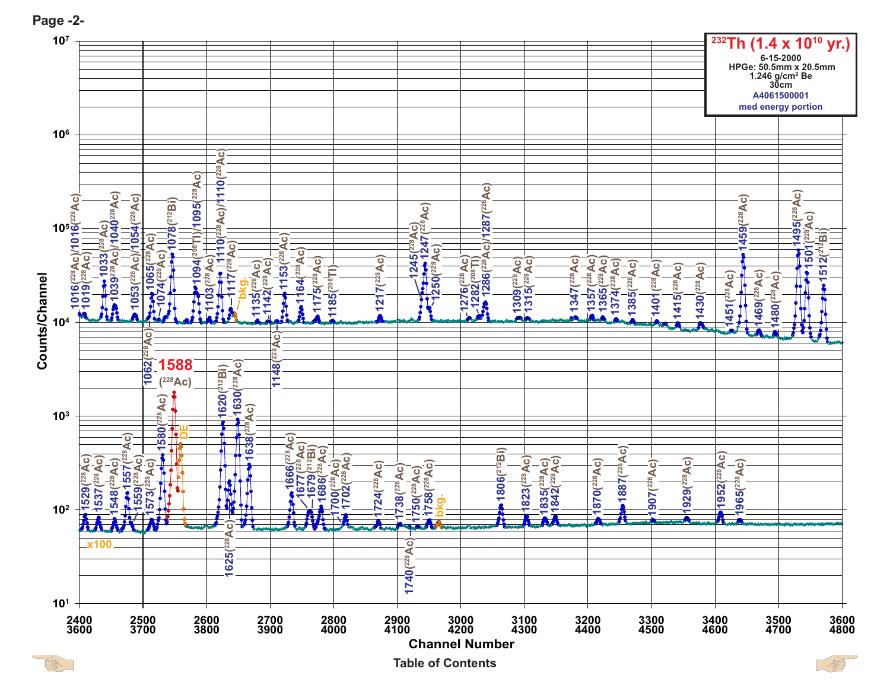

**Page -2-**

 $\bigcirc$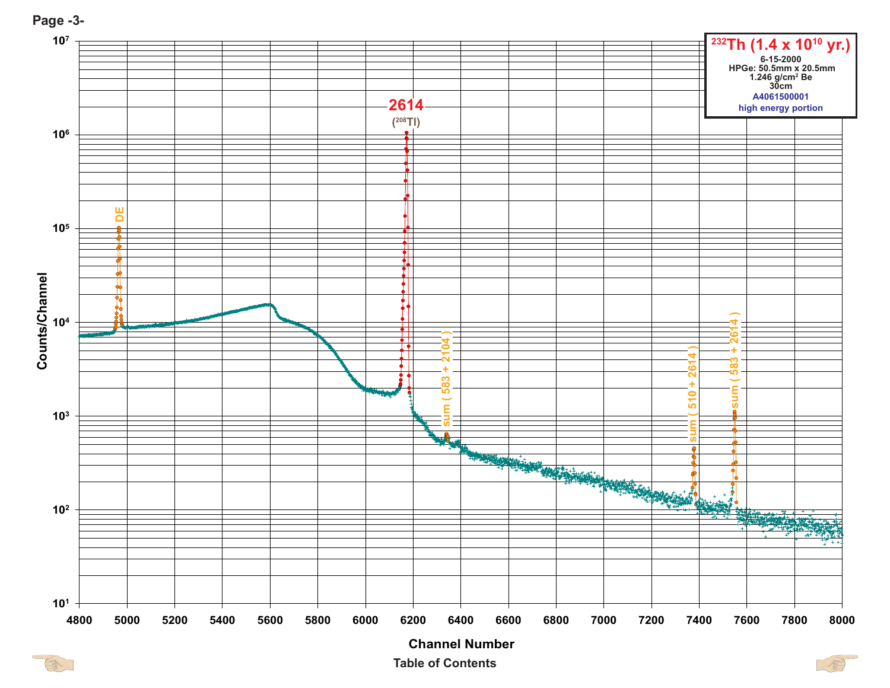



**Table of ContentsChannel Number**



B

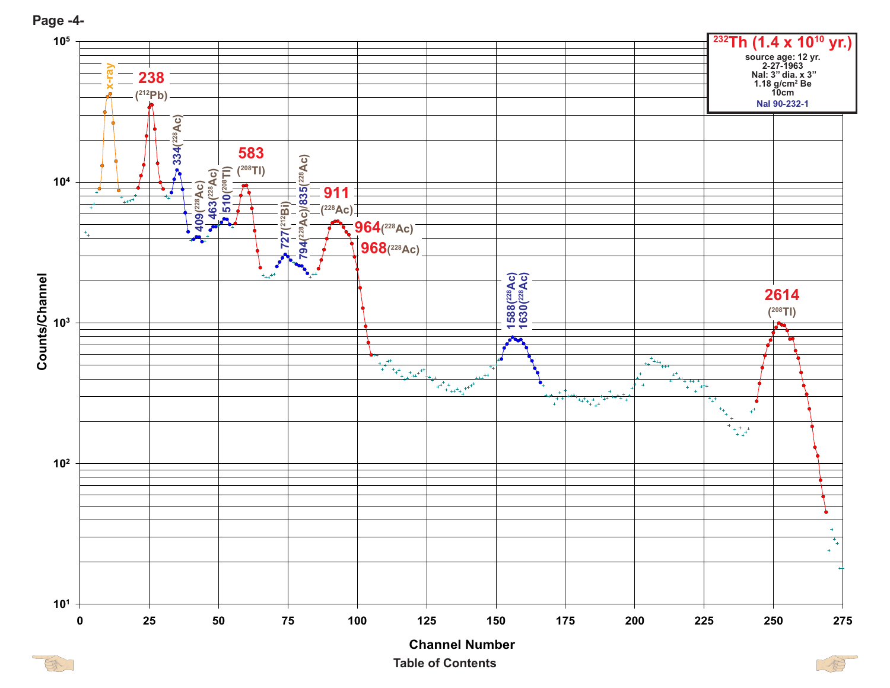

**Table of ContentsChannel Number**

S

**Page -4-**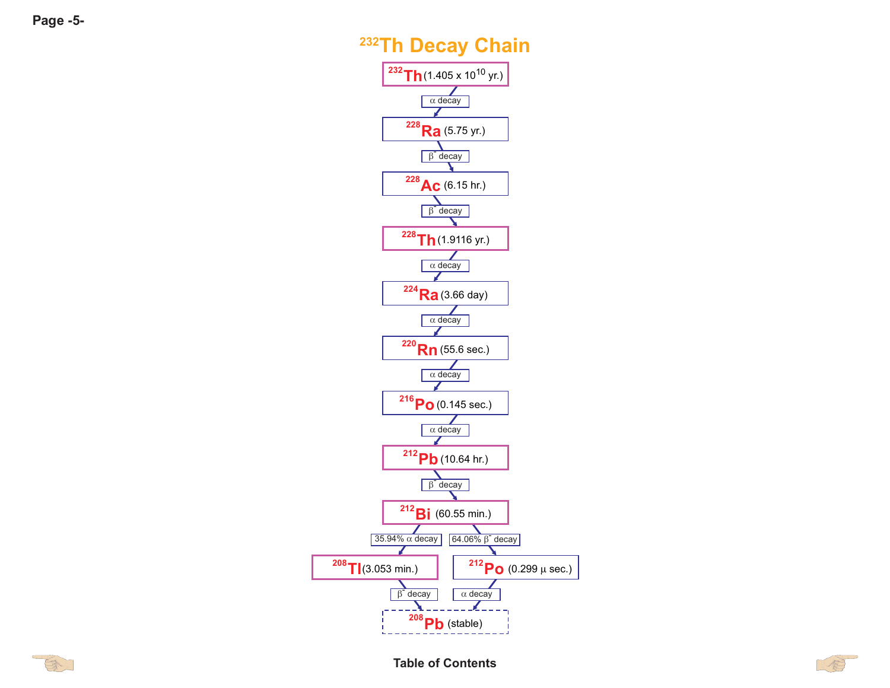## **232Th Decay Chain**



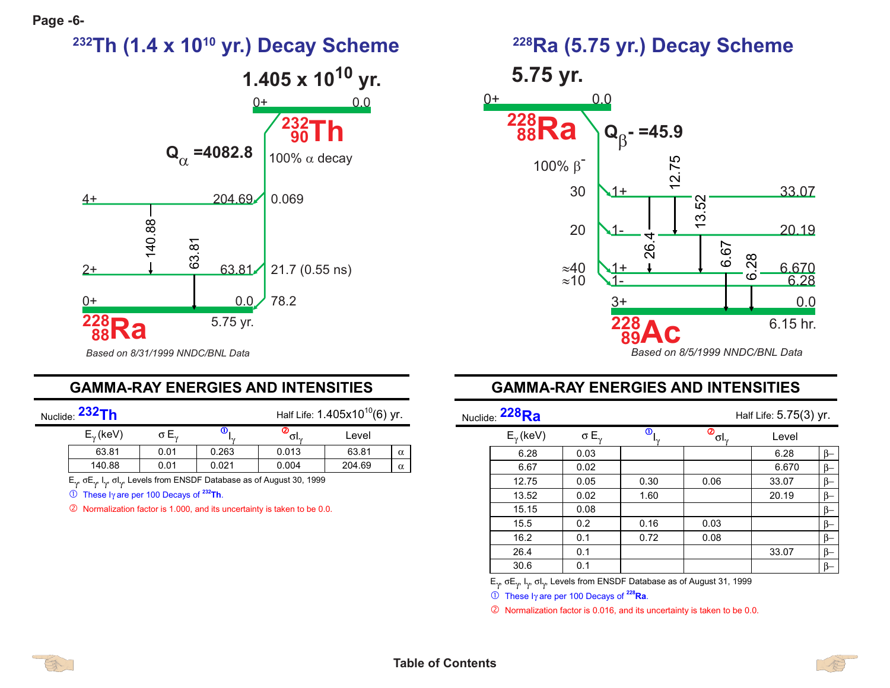

#### **GAMMA-RAY ENERGIES AND INTENSITIES**

Nuclide: **232Th**

Half Life: 1.405x10<sup>10</sup>(6) yr.

| $E_{\gamma}$ (keV) | , ⊏. | Ψ<br>$\mathbf{z}$ | υı.,  | Level  |          |
|--------------------|------|-------------------|-------|--------|----------|
| 63.81              | 0.01 | 0.263             | 0.013 | 63.81  | $\alpha$ |
| 140.88             | 0.01 | 0.021             | 0.004 | 204.69 | $\alpha$ |

 $E_{\gamma}$ , σ $E_{\gamma}$ ,  $I_{\gamma}$ , σ $I_{\gamma}$ , Levels from ENSDF Database as of August 30, 1999

These I<sup>γ</sup> are per 100 Decays of **232Th**.

- Normalization factor is 1.000, and its uncertainty is taken to be 0.0.

# **5.75 yr.**



#### GAMMA-RAY ENERGIES AND INTENSITIES

| Nuclide: <sup>228</sup> Ra |                  | Half Life: 5.75(3) yr. |                                    |       |          |
|----------------------------|------------------|------------------------|------------------------------------|-------|----------|
| $E_{\gamma}$ (keV)         | $\sigma E_{\nu}$ | ⋒                      | $\overline{\Phi}_{\sigma I_{\nu}}$ | Level |          |
| 6.28                       | 0.03             |                        |                                    | 6.28  | $\beta-$ |
| 6.67                       | 0.02             |                        |                                    | 6.670 | $\beta-$ |
| 12.75                      | 0.05             | 0.30                   | 0.06                               | 33.07 | $\beta-$ |
| 13.52                      | 0.02             | 1.60                   |                                    | 20.19 | $\beta-$ |
| 15.15                      | 0.08             |                        |                                    |       | $\beta-$ |
| 15.5                       | 0.2              | 0.16                   | 0.03                               |       | $\beta-$ |
| 16.2                       | 0.1              | 0.72                   | 0.08                               |       | $\beta-$ |
| 26.4                       | 0.1              |                        |                                    | 33.07 | $\beta-$ |
| 30.6                       | 0.1              |                        |                                    |       | $\beta-$ |
|                            |                  |                        |                                    |       |          |

Ε<sub>γ</sub>, σΕ<sub>γ</sub>, Ι<sub>γ</sub>, σΙ<sub>γ</sub>, Levels from ENSDF Database as of August 31, 1999

**①** These I<sub>Y</sub> are per 100 Decays of <sup>228</sup>Ra.

2 Normalization factor is 0.016, and its uncertainty is taken to be 0.0.



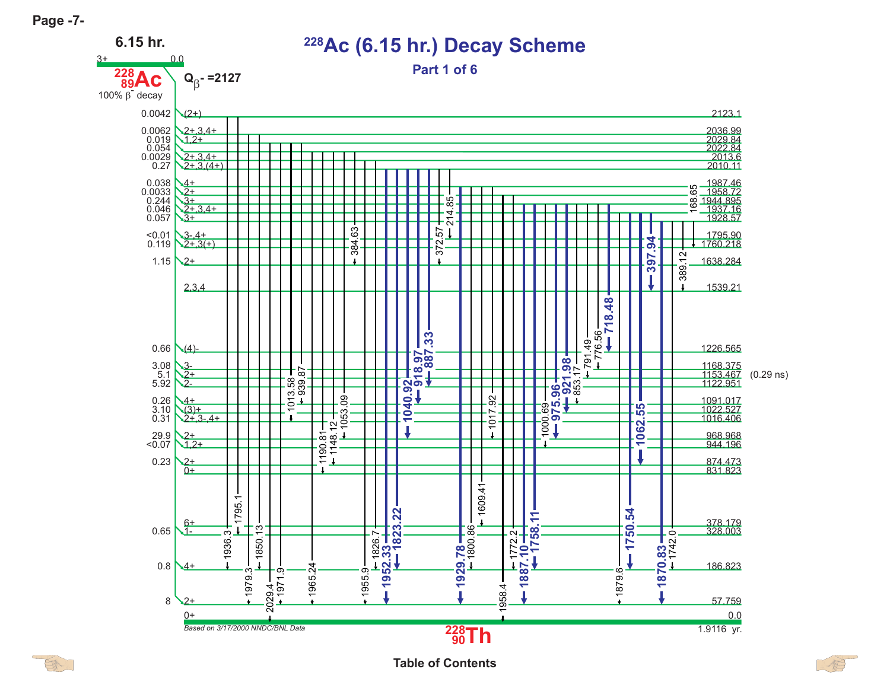3+





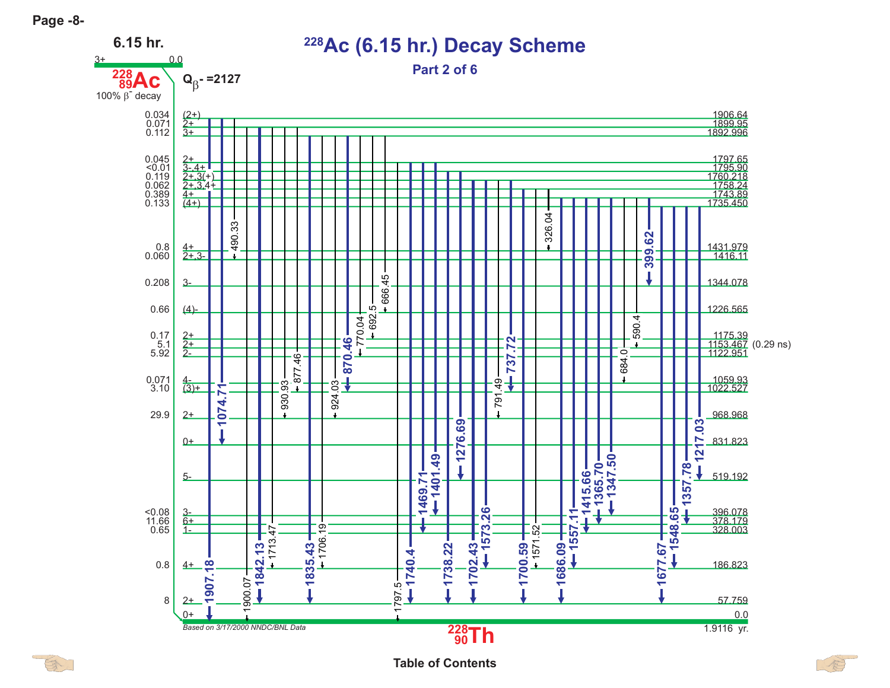

**Table of Contents**

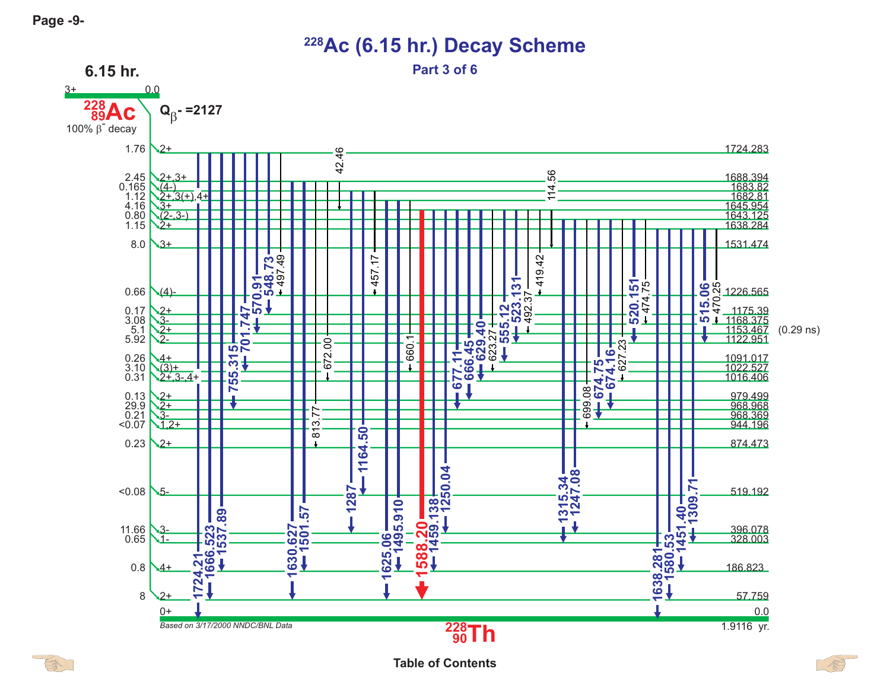$\mathbb{R}$ 



## **228Ac (6.15 hr.) Decay Scheme**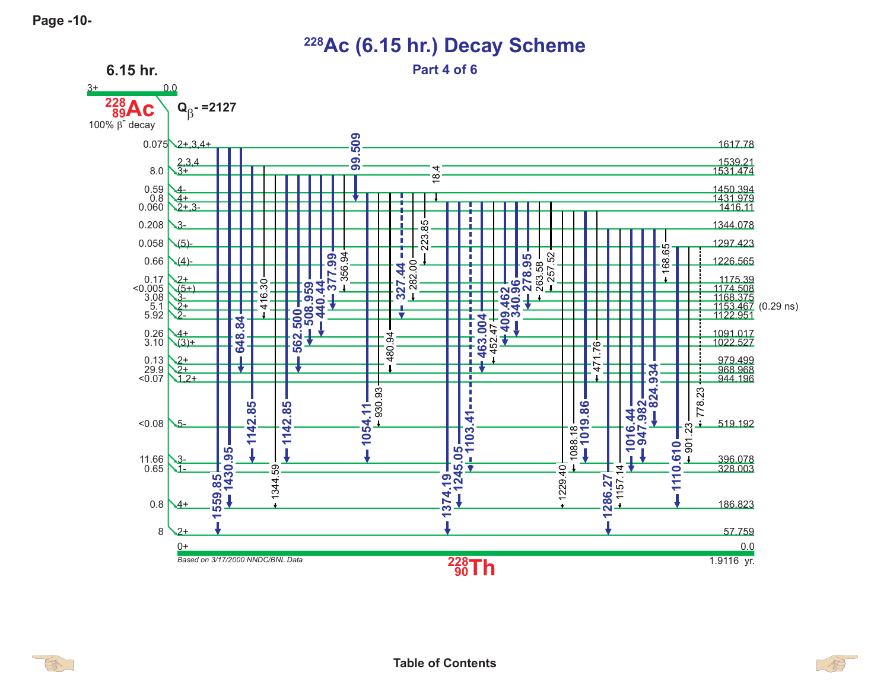3+



**228Ac (6.15 hr.) Decay Scheme**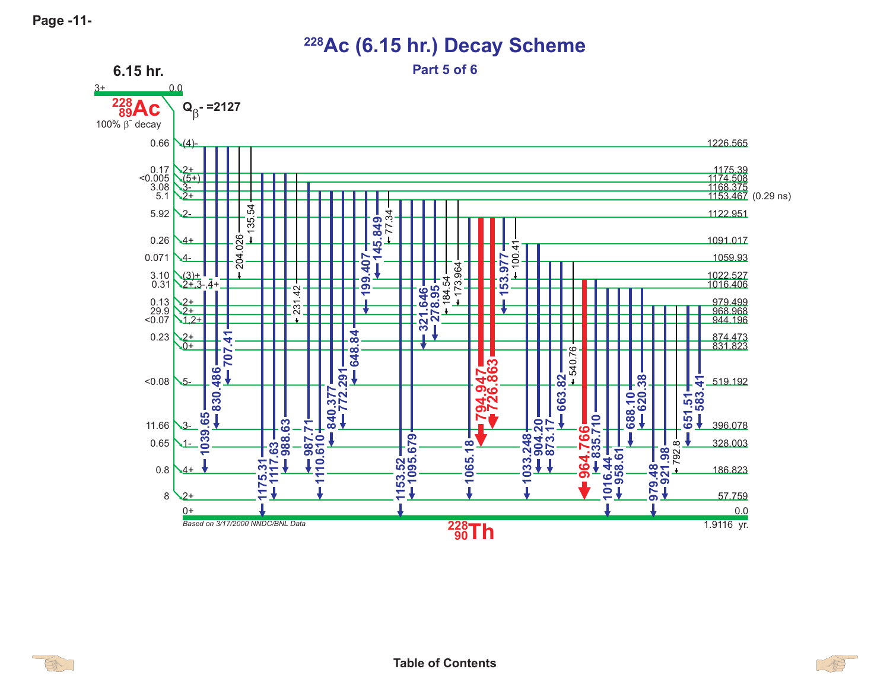

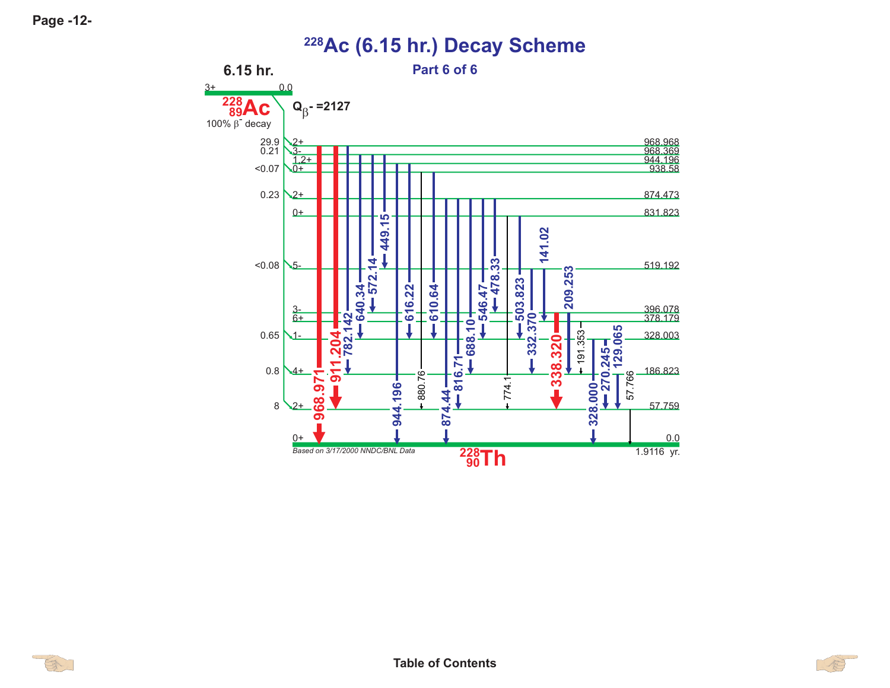$3+$ 





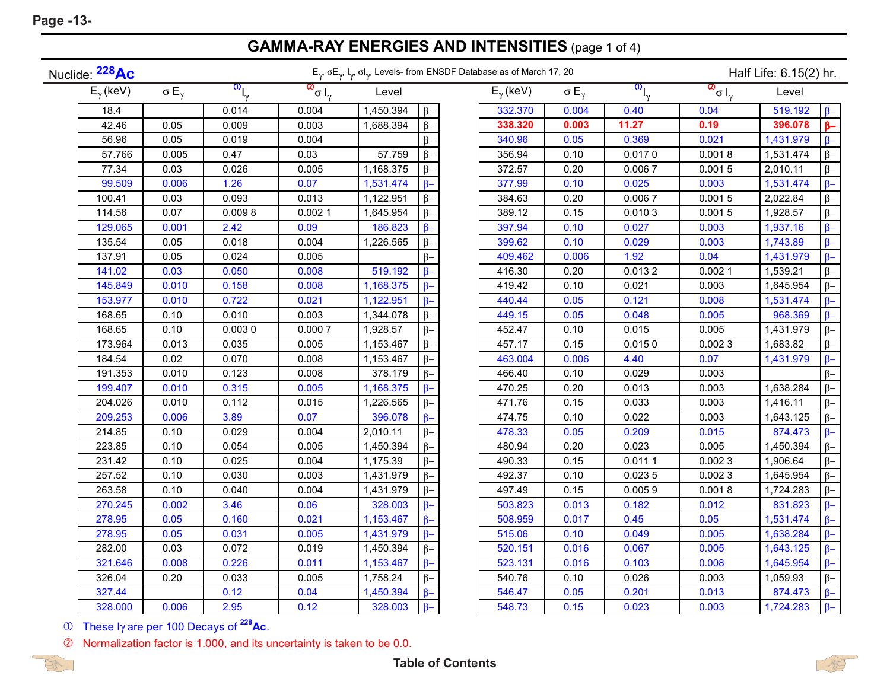## **GAMMA-RAY ENERGIES AND INTENSITIES** (page 1 of 4)

| Nuclide: <sup>228</sup> Ac |         |                     | $E_{\gamma}$ , $\sigma E_{\gamma}$ , $I_{\gamma}$ , $\sigma I_{\gamma}$ , Levels- from ENSDF Database as of March 17, 20 |                                 |           |           |                    |                     |                                                          | Half Life: 6.15(2) hr. |           |           |  |
|----------------------------|---------|---------------------|--------------------------------------------------------------------------------------------------------------------------|---------------------------------|-----------|-----------|--------------------|---------------------|----------------------------------------------------------|------------------------|-----------|-----------|--|
| $E_{\gamma}$ (keV)         |         | $\sigma E_{\gamma}$ | $\overline{\mathbf{0}}_{\vert_{\mathbf{v}}}$                                                                             | $\frac{1}{\sigma}$ <sub>y</sub> | Level     |           | $E_{\gamma}$ (keV) | $\sigma E_{\gamma}$ | $\overline{\mathbf{O}}_{\boldsymbol{\mathsf{I}}_\gamma}$ | $\frac{1}{\sigma}$     | Level     |           |  |
|                            | 18.4    |                     | 0.014                                                                                                                    | 0.004                           | 1,450.394 | $\beta-$  | 332.370            | 0.004               | 0.40                                                     | 0.04                   | 519.192   | $\beta$ - |  |
|                            | 42.46   | 0.05                | 0.009                                                                                                                    | 0.003                           | 1,688.394 | $\beta-$  | 338.320            | 0.003               | 11.27                                                    | 0.19                   | 396.078   | $\beta-$  |  |
|                            | 56.96   | 0.05                | 0.019                                                                                                                    | 0.004                           |           | $\beta-$  | 340.96             | 0.05                | 0.369                                                    | 0.021                  | 1,431.979 | $\beta-$  |  |
|                            | 57.766  | 0.005               | 0.47                                                                                                                     | 0.03                            | 57.759    | $\beta-$  | 356.94             | 0.10                | 0.0170                                                   | 0.0018                 | 1,531.474 | $\beta-$  |  |
|                            | 77.34   | 0.03                | 0.026                                                                                                                    | 0.005                           | 1,168.375 | $\beta-$  | 372.57             | 0.20                | 0.0067                                                   | 0.0015                 | 2,010.11  | $\beta-$  |  |
|                            | 99.509  | 0.006               | 1.26                                                                                                                     | 0.07                            | 1,531.474 | $\beta-$  | 377.99             | 0.10                | 0.025                                                    | 0.003                  | 1,531.474 | $\beta-$  |  |
|                            | 100.41  | 0.03                | 0.093                                                                                                                    | 0.013                           | 1,122.951 | $\beta-$  | 384.63             | 0.20                | 0.0067                                                   | 0.0015                 | 2,022.84  | $\beta-$  |  |
|                            | 114.56  | 0.07                | 0.0098                                                                                                                   | 0.0021                          | 1,645.954 | $\beta-$  | 389.12             | 0.15                | 0.0103                                                   | 0.0015                 | 1,928.57  | $\beta-$  |  |
|                            | 129.065 | 0.001               | 2.42                                                                                                                     | 0.09                            | 186.823   | $\beta$ - | 397.94             | 0.10                | 0.027                                                    | 0.003                  | 1,937.16  | $\beta$ - |  |
|                            | 135.54  | 0.05                | 0.018                                                                                                                    | 0.004                           | 1,226.565 | $\beta-$  | 399.62             | 0.10                | 0.029                                                    | 0.003                  | 1,743.89  | $\beta$ - |  |
|                            | 137.91  | 0.05                | 0.024                                                                                                                    | 0.005                           |           | $\beta-$  | 409.462            | 0.006               | 1.92                                                     | 0.04                   | 1,431.979 | $\beta$ - |  |
|                            | 141.02  | 0.03                | 0.050                                                                                                                    | 0.008                           | 519.192   | $\beta$ - | 416.30             | 0.20                | 0.0132                                                   | 0.0021                 | 1,539.21  | $\beta-$  |  |
|                            | 145.849 | 0.010               | 0.158                                                                                                                    | 0.008                           | 1,168.375 | $\beta$ - | 419.42             | 0.10                | 0.021                                                    | 0.003                  | 1,645.954 | $\beta-$  |  |
|                            | 153.977 | 0.010               | 0.722                                                                                                                    | 0.021                           | 1,122.951 | $\beta$ - | 440.44             | 0.05                | 0.121                                                    | 0.008                  | 1,531.474 | $\beta$ - |  |
|                            | 168.65  | 0.10                | 0.010                                                                                                                    | 0.003                           | 1,344.078 | $\beta-$  | 449.15             | 0.05                | 0.048                                                    | 0.005                  | 968.369   | $\beta$ - |  |
|                            | 168.65  | 0.10                | 0.0030                                                                                                                   | 0.0007                          | 1,928.57  | $\beta-$  | 452.47             | 0.10                | 0.015                                                    | 0.005                  | 1,431.979 | $\beta-$  |  |
|                            | 173.964 | 0.013               | 0.035                                                                                                                    | 0.005                           | 1,153.467 | $\beta-$  | 457.17             | 0.15                | 0.0150                                                   | 0.0023                 | 1,683.82  | $\beta-$  |  |
|                            | 184.54  | 0.02                | 0.070                                                                                                                    | 0.008                           | 1,153.467 | $\beta-$  | 463.004            | 0.006               | 4.40                                                     | 0.07                   | 1,431.979 | $\beta$ - |  |
|                            | 191.353 | 0.010               | 0.123                                                                                                                    | 0.008                           | 378.179   | $\beta-$  | 466.40             | 0.10                | 0.029                                                    | 0.003                  |           | $\beta-$  |  |
|                            | 199.407 | 0.010               | 0.315                                                                                                                    | 0.005                           | 1,168.375 | $\beta-$  | 470.25             | 0.20                | 0.013                                                    | 0.003                  | 1,638.284 | $\beta-$  |  |
|                            | 204.026 | 0.010               | 0.112                                                                                                                    | 0.015                           | 1,226.565 | $\beta-$  | 471.76             | 0.15                | 0.033                                                    | 0.003                  | 1,416.11  | $\beta-$  |  |
|                            | 209.253 | 0.006               | 3.89                                                                                                                     | 0.07                            | 396.078   | $\beta-$  | 474.75             | 0.10                | 0.022                                                    | 0.003                  | 1,643.125 | $\beta-$  |  |
|                            | 214.85  | 0.10                | 0.029                                                                                                                    | 0.004                           | 2,010.11  | $\beta-$  | 478.33             | 0.05                | 0.209                                                    | 0.015                  | 874.473   | $\beta-$  |  |
|                            | 223.85  | 0.10                | 0.054                                                                                                                    | 0.005                           | 1,450.394 | $\beta-$  | 480.94             | 0.20                | 0.023                                                    | 0.005                  | 1,450.394 | $\beta-$  |  |
|                            | 231.42  | 0.10                | 0.025                                                                                                                    | 0.004                           | 1,175.39  | $\beta-$  | 490.33             | 0.15                | 0.0111                                                   | 0.0023                 | 1,906.64  | $\beta-$  |  |
|                            | 257.52  | 0.10                | 0.030                                                                                                                    | 0.003                           | 1,431.979 | $\beta-$  | 492.37             | 0.10                | 0.0235                                                   | 0.0023                 | 1,645.954 | $\beta-$  |  |
|                            | 263.58  | 0.10                | 0.040                                                                                                                    | 0.004                           | 1,431.979 | $\beta-$  | 497.49             | 0.15                | 0.0059                                                   | 0.0018                 | 1,724.283 | $\beta-$  |  |
|                            | 270.245 | 0.002               | 3.46                                                                                                                     | 0.06                            | 328.003   | $\beta-$  | 503.823            | 0.013               | 0.182                                                    | 0.012                  | 831.823   | $\beta$ - |  |
|                            | 278.95  | 0.05                | 0.160                                                                                                                    | 0.021                           | 1,153.467 | $\beta-$  | 508.959            | 0.017               | 0.45                                                     | 0.05                   | 1,531.474 | $\beta-$  |  |
|                            | 278.95  | 0.05                | 0.031                                                                                                                    | 0.005                           | 1,431.979 | $\beta-$  | 515.06             | 0.10                | 0.049                                                    | 0.005                  | 1,638.284 | $\beta-$  |  |
|                            | 282.00  | 0.03                | 0.072                                                                                                                    | 0.019                           | 1,450.394 | $\beta-$  | 520.151            | 0.016               | 0.067                                                    | 0.005                  | 1,643.125 | $\beta-$  |  |
|                            | 321.646 | 0.008               | 0.226                                                                                                                    | 0.011                           | 1,153.467 | $\beta$ - | 523.131            | 0.016               | 0.103                                                    | 0.008                  | 1,645.954 | $\beta$ - |  |
|                            | 326.04  | 0.20                | 0.033                                                                                                                    | 0.005                           | 1,758.24  | $\beta-$  | 540.76             | 0.10                | 0.026                                                    | 0.003                  | 1,059.93  | $\beta-$  |  |
|                            | 327.44  |                     | 0.12                                                                                                                     | 0.04                            | 1,450.394 | $\beta-$  | 546.47             | 0.05                | 0.201                                                    | 0.013                  | 874.473   | $\beta-$  |  |
|                            | 328.000 | 0.006               | 2.95                                                                                                                     | 0.12                            | 328.003   | $\beta-$  | 548.73             | 0.15                | 0.023                                                    | 0.003                  | 1,724.283 | $\beta-$  |  |

These I<sup>γ</sup> are per 100 Decays of **228Ac**.



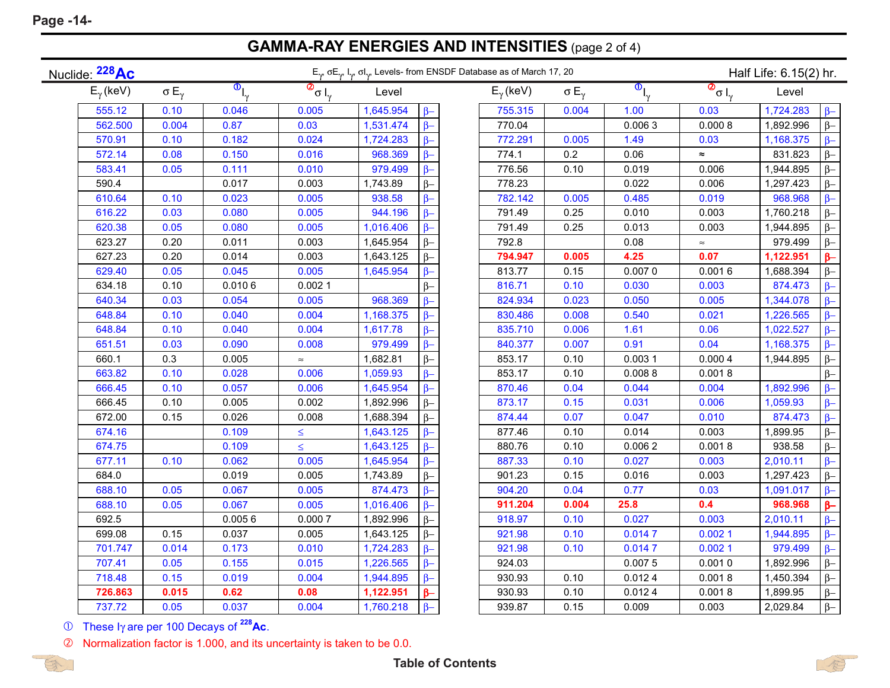۰

## **GAMMA-RAY ENERGIES AND INTENSITIES** (page 2 of 4)

| Nuclide: <sup>228</sup> Ac |                     | $E_{\gamma}$ , $\sigma E_{\gamma}$ , $I_{\gamma}$ , $\sigma I_{\gamma}$ , Levels- from ENSDF Database as of March 17, 20 |                                                                |           |           |                    |                     | Half Life: 6.15(2) hr.               |                                                 |           |           |
|----------------------------|---------------------|--------------------------------------------------------------------------------------------------------------------------|----------------------------------------------------------------|-----------|-----------|--------------------|---------------------|--------------------------------------|-------------------------------------------------|-----------|-----------|
| $E_{\gamma}$ (keV)         | $\sigma E_{\gamma}$ | $\overline{\mathbf{0}}_{I_{\gamma}}$                                                                                     | $\overline{\circ}_{\sigma}$ <sub><math>I_{\gamma}</math></sub> | Level     |           | $E_{\gamma}$ (keV) | $\sigma E_{\gamma}$ | $\overline{\mathbf{0}}_{I_{\gamma}}$ | $\overline{\mathcal{Q}}_{\sigma \, I_{\gamma}}$ | Level     |           |
| 555.12                     | 0.10                | 0.046                                                                                                                    | 0.005                                                          | 1,645.954 | $\beta-$  | 755.315            | 0.004               | 1.00                                 | 0.03                                            | 1,724.283 | $\beta-$  |
| 562.500                    | 0.004               | 0.87                                                                                                                     | 0.03                                                           | 1,531.474 | $\beta-$  | 770.04             |                     | 0.0063                               | 0.0008                                          | 1,892.996 | $\beta-$  |
| 570.91                     | 0.10                | 0.182                                                                                                                    | 0.024                                                          | 1,724.283 | $\beta-$  | 772.291            | 0.005               | 1.49                                 | 0.03                                            | 1,168.375 | $\beta-$  |
| 572.14                     | 0.08                | 0.150                                                                                                                    | 0.016                                                          | 968.369   | $\beta-$  | 774.1              | 0.2                 | 0.06                                 | $\approx$                                       | 831.823   | $\beta$ - |
| 583.41                     | 0.05                | 0.111                                                                                                                    | 0.010                                                          | 979.499   | $\beta-$  | 776.56             | 0.10                | 0.019                                | 0.006                                           | 1,944.895 | $\beta$ - |
| 590.4                      |                     | 0.017                                                                                                                    | 0.003                                                          | 1,743.89  | $\beta-$  | 778.23             |                     | 0.022                                | 0.006                                           | 1,297.423 | $\beta-$  |
| 610.64                     | 0.10                | 0.023                                                                                                                    | 0.005                                                          | 938.58    | $\beta-$  | 782.142            | 0.005               | 0.485                                | 0.019                                           | 968.968   | $\beta$ - |
| 616.22                     | 0.03                | 0.080                                                                                                                    | 0.005                                                          | 944.196   | $\beta-$  | 791.49             | 0.25                | 0.010                                | 0.003                                           | 1,760.218 | $\beta-$  |
| 620.38                     | 0.05                | 0.080                                                                                                                    | 0.005                                                          | 1,016.406 | $\beta-$  | 791.49             | 0.25                | 0.013                                | 0.003                                           | 1,944.895 | $\beta-$  |
| 623.27                     | 0.20                | 0.011                                                                                                                    | 0.003                                                          | 1,645.954 | $\beta-$  | 792.8              |                     | 0.08                                 | $\thickapprox$                                  | 979.499   | $\beta-$  |
| 627.23                     | 0.20                | 0.014                                                                                                                    | 0.003                                                          | 1,643.125 | $\beta-$  | 794.947            | 0.005               | 4.25                                 | 0.07                                            | 1,122.951 | $\beta-$  |
| 629.40                     | 0.05                | 0.045                                                                                                                    | 0.005                                                          | 1,645.954 | $\beta-$  | 813.77             | 0.15                | 0.0070                               | 0.0016                                          | 1,688.394 | $\beta-$  |
| 634.18                     | 0.10                | 0.0106                                                                                                                   | 0.0021                                                         |           | $\beta-$  | 816.71             | 0.10                | 0.030                                | 0.003                                           | 874.473   | $\beta$ - |
| 640.34                     | 0.03                | 0.054                                                                                                                    | 0.005                                                          | 968.369   | $\beta$ - | 824.934            | 0.023               | 0.050                                | 0.005                                           | 1,344.078 | $\beta$ - |
| 648.84                     | 0.10                | 0.040                                                                                                                    | 0.004                                                          | 1,168.375 | $\beta-$  | 830.486            | 0.008               | 0.540                                | 0.021                                           | 1,226.565 | $\beta$ - |
| 648.84                     | 0.10                | 0.040                                                                                                                    | 0.004                                                          | 1,617.78  | $\beta-$  | 835.710            | 0.006               | 1.61                                 | 0.06                                            | 1,022.527 | $\beta$ - |
| 651.51                     | 0.03                | 0.090                                                                                                                    | 0.008                                                          | 979.499   | $\beta-$  | 840.377            | 0.007               | 0.91                                 | 0.04                                            | 1,168.375 | $\beta$ - |
| 660.1                      | 0.3                 | 0.005                                                                                                                    | $\approx$                                                      | 1,682.81  | $\beta-$  | 853.17             | 0.10                | 0.0031                               | 0.0004                                          | 1,944.895 | $\beta-$  |
| 663.82                     | 0.10                | 0.028                                                                                                                    | 0.006                                                          | 1,059.93  | $\beta-$  | 853.17             | 0.10                | 0.0088                               | 0.0018                                          |           | $\beta-$  |
| 666.45                     | 0.10                | 0.057                                                                                                                    | 0.006                                                          | 1,645.954 | $\beta-$  | 870.46             | 0.04                | 0.044                                | 0.004                                           | 1,892.996 | $\beta$ - |
| 666.45                     | 0.10                | 0.005                                                                                                                    | 0.002                                                          | 1,892.996 | $\beta-$  | 873.17             | 0.15                | 0.031                                | 0.006                                           | 1,059.93  | $\beta$ - |
| 672.00                     | 0.15                | 0.026                                                                                                                    | 0.008                                                          | 1,688.394 | $\beta-$  | 874.44             | 0.07                | 0.047                                | 0.010                                           | 874.473   | $\beta$ - |
| 674.16                     |                     | 0.109                                                                                                                    | $\leq$                                                         | 1,643.125 | $\beta$ - | 877.46             | 0.10                | 0.014                                | 0.003                                           | 1,899.95  | $\beta-$  |
| 674.75                     |                     | 0.109                                                                                                                    | $\leq$                                                         | 1,643.125 | $\beta$ - | 880.76             | 0.10                | 0.0062                               | 0.0018                                          | 938.58    | $\beta$ - |
| 677.11                     | 0.10                | 0.062                                                                                                                    | 0.005                                                          | 1,645.954 | $\beta$ - | 887.33             | 0.10                | 0.027                                | 0.003                                           | 2,010.11  | $\beta$ - |
| 684.0                      |                     | 0.019                                                                                                                    | 0.005                                                          | 1,743.89  | $\beta-$  | 901.23             | 0.15                | 0.016                                | 0.003                                           | 1,297.423 | $\beta-$  |
| 688.10                     | 0.05                | 0.067                                                                                                                    | 0.005                                                          | 874.473   | $\beta-$  | 904.20             | 0.04                | 0.77                                 | 0.03                                            | 1,091.017 | $\beta-$  |
| 688.10                     | 0.05                | 0.067                                                                                                                    | 0.005                                                          | 1,016.406 | $\beta$ - | 911.204            | 0.004               | 25.8                                 | 0.4                                             | 968.968   | $\beta-$  |
| 692.5                      |                     | 0.0056                                                                                                                   | 0.0007                                                         | 1,892.996 | $\beta-$  | 918.97             | 0.10                | 0.027                                | 0.003                                           | 2,010.11  | $\beta-$  |
| 699.08                     | 0.15                | 0.037                                                                                                                    | 0.005                                                          | 1,643.125 | $\beta-$  | 921.98             | 0.10                | 0.0147                               | 0.0021                                          | 1,944.895 | $\beta-$  |
| 701.747                    | 0.014               | 0.173                                                                                                                    | 0.010                                                          | 1,724.283 | $\beta-$  | 921.98             | 0.10                | 0.0147                               | 0.0021                                          | 979.499   | $\beta$ - |
| 707.41                     | 0.05                | 0.155                                                                                                                    | 0.015                                                          | 1,226.565 | $\beta-$  | 924.03             |                     | 0.0075                               | 0.0010                                          | 1,892.996 | $\beta-$  |
| 718.48                     | 0.15                | 0.019                                                                                                                    | 0.004                                                          | 1,944.895 | $\beta-$  | 930.93             | 0.10                | 0.0124                               | 0.0018                                          | 1,450.394 | $\beta-$  |
| 726.863                    | 0.015               | 0.62                                                                                                                     | 0.08                                                           | 1,122.951 | $\beta-$  | 930.93             | 0.10                | 0.0124                               | 0.0018                                          | 1,899.95  | $\beta-$  |
| 737.72                     | 0.05                | 0.037                                                                                                                    | 0.004                                                          | 1,760.218 | $\beta-$  | 939.87             | 0.15                | 0.009                                | 0.003                                           | 2,029.84  | $\beta-$  |

These I<sup>γ</sup> are per 100 Decays of **228Ac**.



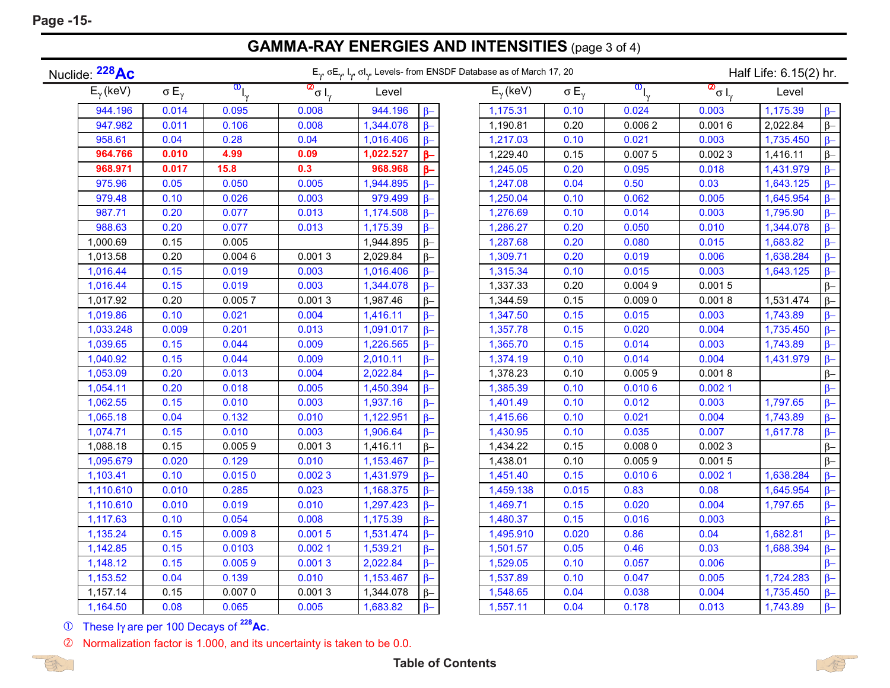**Page -15-**

**GAMMA-RAY ENERGIES AND INTENSITIES** (page 3 of 4)

| Nuclide: <sup>228</sup> Ac |                     | $E_{\gamma}$ $\sigma E_{\gamma}$ , $I_{\gamma}$ , $\sigma I_{\gamma}$ , Levels- from ENSDF Database as of March 17, 20 |                      |           |           |                    |                     |                                          | Half Life: 6.15(2) hr. |           |          |  |
|----------------------------|---------------------|------------------------------------------------------------------------------------------------------------------------|----------------------|-----------|-----------|--------------------|---------------------|------------------------------------------|------------------------|-----------|----------|--|
| $E_{\gamma}$ (keV)         | $\sigma E_{\gamma}$ | $\overline{\mathbf{O}}_{\vert_{\gamma}}$                                                                               | $\frac{1}{\sqrt{2}}$ | Level     |           | $E_{\gamma}$ (keV) | $\sigma E_{\gamma}$ | $\overline{\mathbf{O}}_{\vert_{\gamma}}$ | $\frac{1}{\omega}$     | Level     |          |  |
| 944.196                    | 0.014               | 0.095                                                                                                                  | 0.008                | 944.196   | $\beta-$  | 1,175.31           | 0.10                | 0.024                                    | 0.003                  | 1,175.39  | $\beta-$ |  |
| 947.982                    | 0.011               | 0.106                                                                                                                  | 0.008                | 1,344.078 | $\beta-$  | 1,190.81           | 0.20                | 0.0062                                   | 0.0016                 | 2,022.84  | $\beta-$ |  |
| 958.61                     | 0.04                | 0.28                                                                                                                   | 0.04                 | 1,016.406 | $\beta$ - | 1,217.03           | 0.10                | 0.021                                    | 0.003                  | 1,735.450 | $\beta-$ |  |
| 964.766                    | 0.010               | 4.99                                                                                                                   | 0.09                 | 1,022.527 | $\beta-$  | 1,229.40           | 0.15                | 0.0075                                   | 0.0023                 | 1,416.11  | $\beta-$ |  |
| 968.971                    | 0.017               | 15.8                                                                                                                   | 0.3                  | 968.968   | $\beta-$  | 1,245.05           | 0.20                | 0.095                                    | 0.018                  | 1,431.979 | $\beta-$ |  |
| 975.96                     | 0.05                | 0.050                                                                                                                  | 0.005                | 1,944.895 | $\beta-$  | 1,247.08           | 0.04                | 0.50                                     | 0.03                   | 1,643.125 | $\beta-$ |  |
| 979.48                     | 0.10                | 0.026                                                                                                                  | 0.003                | 979.499   | $\beta-$  | 1,250.04           | 0.10                | 0.062                                    | 0.005                  | 1,645.954 | $\beta-$ |  |
| 987.71                     | 0.20                | 0.077                                                                                                                  | 0.013                | 1,174.508 | $\beta-$  | 1,276.69           | 0.10                | 0.014                                    | 0.003                  | 1,795.90  | $\beta-$ |  |
| 988.63                     | 0.20                | 0.077                                                                                                                  | 0.013                | 1,175.39  | $\beta-$  | 1,286.27           | 0.20                | 0.050                                    | 0.010                  | 1,344.078 | $\beta-$ |  |
| 1,000.69                   | 0.15                | 0.005                                                                                                                  |                      | 1,944.895 | $\beta-$  | 1,287.68           | 0.20                | 0.080                                    | 0.015                  | 1,683.82  | $\beta-$ |  |
| 1,013.58                   | 0.20                | 0.0046                                                                                                                 | 0.0013               | 2,029.84  | $\beta-$  | 1,309.71           | 0.20                | 0.019                                    | 0.006                  | 1,638.284 | $\beta-$ |  |
| 1,016.44                   | 0.15                | 0.019                                                                                                                  | 0.003                | 1,016.406 | $\beta-$  | 1,315.34           | 0.10                | 0.015                                    | 0.003                  | 1,643.125 | $\beta-$ |  |
| 1,016.44                   | 0.15                | 0.019                                                                                                                  | 0.003                | 1,344.078 | $\beta-$  | 1,337.33           | 0.20                | 0.0049                                   | 0.0015                 |           | $\beta-$ |  |
| 1,017.92                   | 0.20                | 0.0057                                                                                                                 | 0.0013               | 1,987.46  | $\beta-$  | 1,344.59           | 0.15                | 0.0090                                   | 0.0018                 | 1,531.474 | $\beta-$ |  |
| 1,019.86                   | 0.10                | 0.021                                                                                                                  | 0.004                | 1,416.11  | $\beta-$  | 1,347.50           | 0.15                | 0.015                                    | 0.003                  | 1,743.89  | $\beta-$ |  |
| 1,033.248                  | 0.009               | 0.201                                                                                                                  | 0.013                | 1,091.017 | $\beta-$  | 1,357.78           | 0.15                | 0.020                                    | 0.004                  | 1,735.450 | $\beta-$ |  |
| 1,039.65                   | 0.15                | 0.044                                                                                                                  | 0.009                | 1,226.565 | $\beta-$  | 1,365.70           | 0.15                | 0.014                                    | 0.003                  | 1,743.89  | $\beta-$ |  |
| 1,040.92                   | 0.15                | 0.044                                                                                                                  | 0.009                | 2,010.11  | $\beta-$  | 1,374.19           | 0.10                | 0.014                                    | 0.004                  | 1,431.979 | $\beta-$ |  |
| 1,053.09                   | 0.20                | 0.013                                                                                                                  | 0.004                | 2,022.84  | $\beta-$  | 1,378.23           | 0.10                | 0.0059                                   | 0.0018                 |           | $\beta-$ |  |
| 1,054.11                   | 0.20                | 0.018                                                                                                                  | 0.005                | 1,450.394 | $\beta-$  | 1,385.39           | 0.10                | 0.0106                                   | 0.0021                 |           | $\beta-$ |  |
| 1,062.55                   | 0.15                | 0.010                                                                                                                  | 0.003                | 1,937.16  | $\beta-$  | 1,401.49           | 0.10                | 0.012                                    | 0.003                  | 1,797.65  | $\beta-$ |  |
| 1,065.18                   | 0.04                | 0.132                                                                                                                  | 0.010                | 1,122.951 | $\beta-$  | 1,415.66           | 0.10                | 0.021                                    | 0.004                  | 1,743.89  | $\beta-$ |  |
| 1,074.71                   | 0.15                | 0.010                                                                                                                  | 0.003                | 1,906.64  | $\beta-$  | 1,430.95           | 0.10                | 0.035                                    | 0.007                  | 1,617.78  | $\beta-$ |  |
| 1,088.18                   | 0.15                | 0.0059                                                                                                                 | 0.0013               | 1,416.11  | $\beta-$  | 1,434.22           | 0.15                | 0.0080                                   | 0.0023                 |           | $\beta-$ |  |
| 1,095.679                  | 0.020               | 0.129                                                                                                                  | 0.010                | 1,153.467 | $\beta-$  | 1,438.01           | 0.10                | 0.0059                                   | 0.0015                 |           | $\beta-$ |  |
| 1,103.41                   | 0.10                | 0.0150                                                                                                                 | 0.0023               | 1,431.979 | $\beta-$  | 1,451.40           | 0.15                | 0.0106                                   | 0.0021                 | 1,638.284 | $\beta-$ |  |
| 1,110.610                  | 0.010               | 0.285                                                                                                                  | 0.023                | 1,168.375 | $\beta-$  | 1,459.138          | 0.015               | 0.83                                     | 0.08                   | 1,645.954 | $\beta-$ |  |
| 1,110.610                  | 0.010               | 0.019                                                                                                                  | 0.010                | 1,297.423 | $\beta-$  | 1,469.71           | 0.15                | 0.020                                    | 0.004                  | 1,797.65  | $\beta-$ |  |
| 1,117.63                   | 0.10                | 0.054                                                                                                                  | 0.008                | 1,175.39  | $\beta-$  | 1,480.37           | 0.15                | 0.016                                    | 0.003                  |           | $\beta-$ |  |
| 1,135.24                   | 0.15                | 0.0098                                                                                                                 | 0.0015               | 1,531.474 | $\beta-$  | 1,495.910          | 0.020               | 0.86                                     | 0.04                   | 1,682.81  | $\beta-$ |  |
| 1,142.85                   | 0.15                | 0.0103                                                                                                                 | 0.0021               | 1,539.21  | $\beta-$  | 1,501.57           | 0.05                | 0.46                                     | 0.03                   | 1,688.394 | $\beta-$ |  |
| 1,148.12                   | 0.15                | 0.0059                                                                                                                 | 0.0013               | 2,022.84  | $\beta-$  | 1,529.05           | 0.10                | 0.057                                    | 0.006                  |           | $\beta-$ |  |
| 1,153.52                   | 0.04                | 0.139                                                                                                                  | 0.010                | 1,153.467 | $\beta$ - | 1,537.89           | 0.10                | 0.047                                    | 0.005                  | 1,724.283 | $\beta-$ |  |
| 1,157.14                   | 0.15                | 0.0070                                                                                                                 | 0.0013               | 1,344.078 | $\beta-$  | 1,548.65           | 0.04                | 0.038                                    | 0.004                  | 1,735.450 | $\beta-$ |  |
| 1,164.50                   | 0.08                | 0.065                                                                                                                  | 0.005                | 1,683.82  | $\beta-$  | 1,557.11           | 0.04                | 0.178                                    | 0.013                  | 1,743.89  | $\beta-$ |  |

These I<sup>γ</sup> are per 100 Decays of **228Ac**.